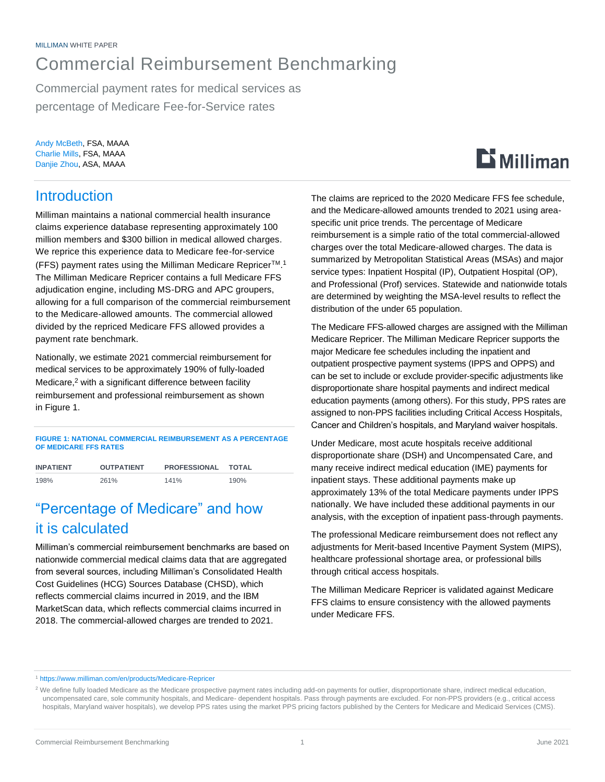## Commercial Reimbursement Benchmarking

Commercial payment rates for medical services as percentage of Medicare Fee-for-Service rates

Andy McBeth, FSA, MAAA Charlie Mills, FSA, MAAA Danjie Zhou, ASA, MAAA

### Introduction

Milliman maintains a national commercial health insurance claims experience database representing approximately 100 million members and \$300 billion in medical allowed charges. We reprice this experience data to Medicare fee-for-service (FFS) payment rates using the Milliman Medicare Repricer<sup>™.1</sup> The Milliman Medicare Repricer contains a full Medicare FFS adjudication engine, including MS-DRG and APC groupers, allowing for a full comparison of the commercial reimbursement to the Medicare-allowed amounts. The commercial allowed divided by the repriced Medicare FFS allowed provides a payment rate benchmark.

Nationally, we estimate 2021 commercial reimbursement for medical services to be approximately 190% of fully-loaded Medicare,<sup>2</sup> with a significant difference between facility reimbursement and professional reimbursement as shown in Figure 1.

**FIGURE 1: NATIONAL COMMERCIAL REIMBURSEMENT AS A PERCENTAGE OF MEDICARE FFS RATES**

| <b>INPATIENT</b> | <b>OUTPATIENT</b> | <b>PROFESSIONAL</b> | TOTAL |
|------------------|-------------------|---------------------|-------|
| 198%             | 261%              | 141%                | 190%  |

### "Percentage of Medicare" and how it is calculated

Milliman's commercial reimbursement benchmarks are based on nationwide commercial medical claims data that are aggregated from several sources, including Milliman's Consolidated Health Cost Guidelines (HCG) Sources Database (CHSD), which reflects commercial claims incurred in 2019, and the IBM MarketScan data, which reflects commercial claims incurred in 2018. The commercial-allowed charges are trended to 2021.

The claims are repriced to the 2020 Medicare FFS fee schedule, and the Medicare-allowed amounts trended to 2021 using areaspecific unit price trends. The percentage of Medicare reimbursement is a simple ratio of the total commercial-allowed charges over the total Medicare-allowed charges. The data is summarized by Metropolitan Statistical Areas (MSAs) and major service types: Inpatient Hospital (IP), Outpatient Hospital (OP), and Professional (Prof) services. Statewide and nationwide totals are determined by weighting the MSA-level results to reflect the distribution of the under 65 population.

The Medicare FFS-allowed charges are assigned with the Milliman Medicare Repricer. The Milliman Medicare Repricer supports the major Medicare fee schedules including the inpatient and outpatient prospective payment systems (IPPS and OPPS) and can be set to include or exclude provider-specific adjustments like disproportionate share hospital payments and indirect medical education payments (among others). For this study, PPS rates are assigned to non-PPS facilities including Critical Access Hospitals, Cancer and Children's hospitals, and Maryland waiver hospitals.

Under Medicare, most acute hospitals receive additional disproportionate share (DSH) and Uncompensated Care, and many receive indirect medical education (IME) payments for inpatient stays. These additional payments make up approximately 13% of the total Medicare payments under IPPS nationally. We have included these additional payments in our analysis, with the exception of inpatient pass-through payments.

The professional Medicare reimbursement does not reflect any adjustments for Merit-based Incentive Payment System (MIPS), healthcare professional shortage area, or professional bills through critical access hospitals.

The Milliman Medicare Repricer is validated against Medicare FFS claims to ensure consistency with the allowed payments under Medicare FFS.

<sup>1</sup> <https://www.milliman.com/en/products/Medicare-Repricer>

# $\mathbf{D}$  Milliman

<sup>&</sup>lt;sup>2</sup> We define fully loaded Medicare as the Medicare prospective payment rates including add-on payments for outlier, disproportionate share, indirect medical education, uncompensated care, sole community hospitals, and Medicare- dependent hospitals. Pass through payments are excluded. For non-PPS providers (e.g., critical access hospitals, Maryland waiver hospitals), we develop PPS rates using the market PPS pricing factors published by the Centers for Medicare and Medicaid Services (CMS).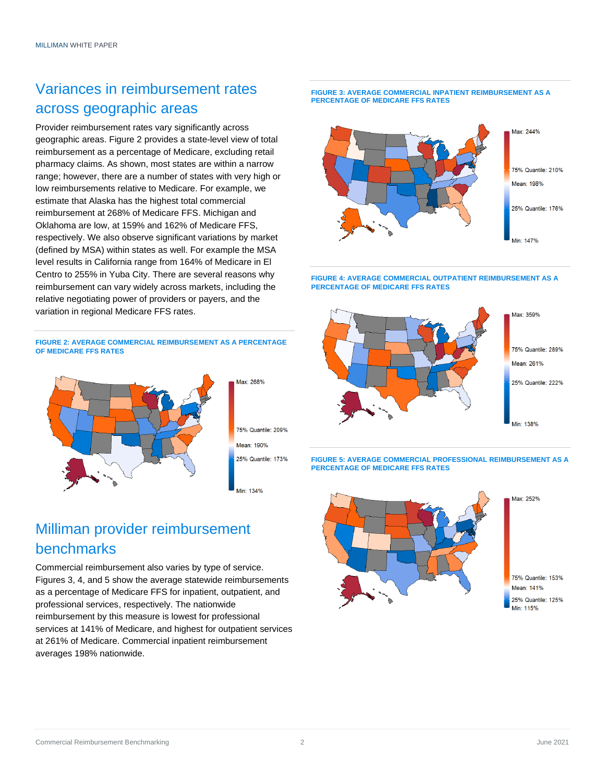### Variances in reimbursement rates across geographic areas

Provider reimbursement rates vary significantly across geographic areas. Figure 2 provides a state-level view of total reimbursement as a percentage of Medicare, excluding retail pharmacy claims. As shown, most states are within a narrow range; however, there are a number of states with very high or low reimbursements relative to Medicare. For example, we estimate that Alaska has the highest total commercial reimbursement at 268% of Medicare FFS. Michigan and Oklahoma are low, at 159% and 162% of Medicare FFS, respectively. We also observe significant variations by market (defined by MSA) within states as well. For example the MSA level results in California range from 164% of Medicare in El Centro to 255% in Yuba City. There are several reasons why reimbursement can vary widely across markets, including the relative negotiating power of providers or payers, and the variation in regional Medicare FFS rates.

**FIGURE 2: AVERAGE COMMERCIAL REIMBURSEMENT AS A PERCENTAGE OF MEDICARE FFS RATES**



Milliman provider reimbursement benchmarks

Commercial reimbursement also varies by type of service. Figures 3, 4, and 5 show the average statewide reimbursements as a percentage of Medicare FFS for inpatient, outpatient, and professional services, respectively. The nationwide reimbursement by this measure is lowest for professional services at 141% of Medicare, and highest for outpatient services at 261% of Medicare. Commercial inpatient reimbursement averages 198% nationwide.



**FIGURE 4: AVERAGE COMMERCIAL OUTPATIENT REIMBURSEMENT AS A PERCENTAGE OF MEDICARE FFS RATES**



**FIGURE 5: AVERAGE COMMERCIAL PROFESSIONAL REIMBURSEMENT AS A PERCENTAGE OF MEDICARE FFS RATES**



#### **FIGURE 3: AVERAGE COMMERCIAL INPATIENT REIMBURSEMENT AS A PERCENTAGE OF MEDICARE FFS RATES**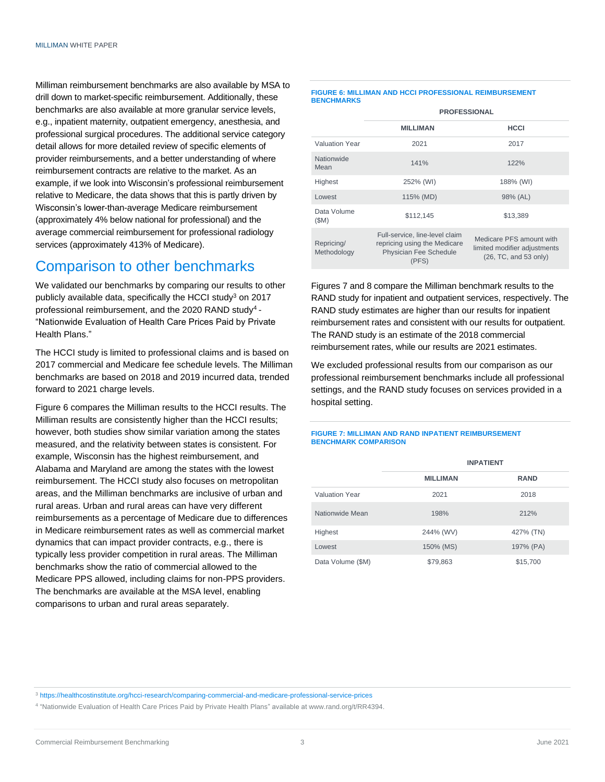Milliman reimbursement benchmarks are also available by MSA to drill down to market-specific reimbursement. Additionally, these benchmarks are also available at more granular service levels, e.g., inpatient maternity, outpatient emergency, anesthesia, and professional surgical procedures. The additional service category detail allows for more detailed review of specific elements of provider reimbursements, and a better understanding of where reimbursement contracts are relative to the market. As an example, if we look into Wisconsin's professional reimbursement relative to Medicare, the data shows that this is partly driven by Wisconsin's lower-than-average Medicare reimbursement (approximately 4% below national for professional) and the average commercial reimbursement for professional radiology services (approximately 413% of Medicare).

### Comparison to other benchmarks

We validated our benchmarks by comparing our results to other publicly available data, specifically the HCCI study<sup>3</sup> on 2017 professional reimbursement, and the 2020 RAND study<sup>4</sup> -"Nationwide Evaluation of Health Care Prices Paid by Private Health Plans."

The HCCI study is limited to professional claims and is based on 2017 commercial and Medicare fee schedule levels. The Milliman benchmarks are based on 2018 and 2019 incurred data, trended forward to 2021 charge levels.

Figure 6 compares the Milliman results to the HCCI results. The Milliman results are consistently higher than the HCCI results; however, both studies show similar variation among the states measured, and the relativity between states is consistent. For example, Wisconsin has the highest reimbursement, and Alabama and Maryland are among the states with the lowest reimbursement. The HCCI study also focuses on metropolitan areas, and the Milliman benchmarks are inclusive of urban and rural areas. Urban and rural areas can have very different reimbursements as a percentage of Medicare due to differences in Medicare reimbursement rates as well as commercial market dynamics that can impact provider contracts, e.g., there is typically less provider competition in rural areas. The Milliman benchmarks show the ratio of commercial allowed to the Medicare PPS allowed, including claims for non-PPS providers. The benchmarks are available at the MSA level, enabling comparisons to urban and rural areas separately.

#### **FIGURE 6: MILLIMAN AND HCCI PROFESSIONAL REIMBURSEMENT BENCHMARKS**

|                           | <b>PROFESSIONAL</b>                                                                                      |                                                                                   |  |
|---------------------------|----------------------------------------------------------------------------------------------------------|-----------------------------------------------------------------------------------|--|
|                           | <b>MILLIMAN</b>                                                                                          | <b>HCCI</b>                                                                       |  |
| <b>Valuation Year</b>     | 2021                                                                                                     | 2017                                                                              |  |
| Nationwide<br>Mean        | 141%                                                                                                     | 122%                                                                              |  |
| Highest                   | 252% (WI)                                                                                                | 188% (WI)                                                                         |  |
| Lowest                    | 115% (MD)                                                                                                | 98% (AL)                                                                          |  |
| Data Volume<br>(SM)       | \$112.145                                                                                                | \$13.389                                                                          |  |
| Repricing/<br>Methodology | Full-service, line-level claim<br>repricing using the Medicare<br><b>Physician Fee Schedule</b><br>(PFS) | Medicare PFS amount with<br>limited modifier adjustments<br>(26, TC, and 53 only) |  |

Figures 7 and 8 compare the Milliman benchmark results to the RAND study for inpatient and outpatient services, respectively. The RAND study estimates are higher than our results for inpatient reimbursement rates and consistent with our results for outpatient. The RAND study is an estimate of the 2018 commercial reimbursement rates, while our results are 2021 estimates.

We excluded professional results from our comparison as our professional reimbursement benchmarks include all professional settings, and the RAND study focuses on services provided in a hospital setting.

#### **FIGURE 7: MILLIMAN AND RAND INPATIENT REIMBURSEMENT BENCHMARK COMPARISON**

|                       | <b>INPATIENT</b> |             |
|-----------------------|------------------|-------------|
|                       | <b>MILLIMAN</b>  | <b>RAND</b> |
| <b>Valuation Year</b> | 2021             | 2018        |
| Nationwide Mean       | 198%             | 212%        |
| Highest               | 244% (WV)        | 427% (TN)   |
| Lowest                | 150% (MS)        | 197% (PA)   |
| Data Volume (\$M)     | \$79,863         | \$15,700    |

<sup>3</sup> <https://healthcostinstitute.org/hcci-research/comparing-commercial-and-medicare-professional-service-prices>

4 "Nationwide Evaluation of Health Care Prices Paid by Private Health Plans" available at www.rand.org/t/RR4394.